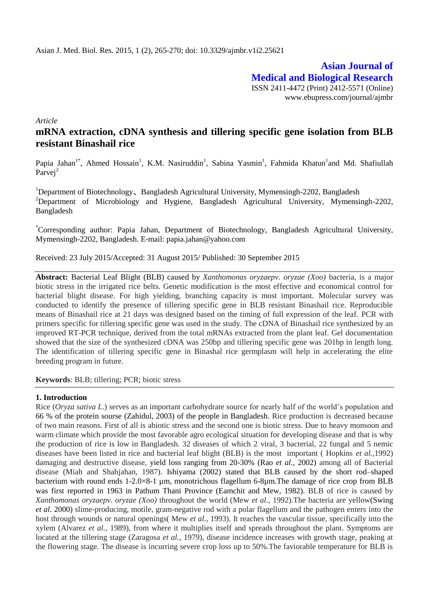**Asian Journal of Medical and Biological Research** ISSN 2411-4472 (Print) 2412-5571 (Online) www.ebupress.com/journal/ajmbr

*Article*

# **mRNA extraction, cDNA synthesis and tillering specific gene isolation from BLB resistant Binashail rice**

Papia Jahan<sup>1\*</sup>, Ahmed Hossain<sup>1</sup>, K.M. Nasiruddin<sup>1</sup>, Sabina Yasmin<sup>1</sup>, Fahmida Khatun<sup>1</sup>and Md. Shafiullah Parvej<sup>2</sup>

<sup>1</sup>Department of Biotechnology, Bangladesh Agricultural University, Mymensingh-2202, Bangladesh  $2$ Department of Microbiology and Hygiene, Bangladesh Agricultural University, Mymensingh-2202, Bangladesh

\*Corresponding author: Papia Jahan, Department of Biotechnology, Bangladesh Agricultural University, Mymensingh-2202, Bangladesh. E-mail: [papia.jahan@yahoo.com](mailto:papia.jahan@yahoo.com)

Received: 23 July 2015/Accepted: 31 August 2015/ Published: 30 September 2015

**Abstract:** Bacterial Leaf Blight (BLB) caused by *Xanthomonas oryzaepv. oryzae (Xoo)* bacteria, is a major biotic stress in the irrigated rice belts. Genetic modification is the most effective and economical control for bacterial blight disease. For high yielding, branching capacity is most important. Molecular survey was conducted to identify the presence of tillering specific gene in BLB resistant Binashail rice. Reproducible means of Binashail rice at 21 days was designed based on the timing of full expression of the leaf. PCR with primers specific for tillering specific gene was used in the study. The cDNA of Binashail rice synthesized by an improved RT-PCR technique, derived from the total mRNAs extracted from the plant leaf. Gel documentation showed that the size of the synthesized cDNA was 250bp and tillering specific gene was 201bp in length long. The identification of tillering specific gene in Binashal rice germplasm will help in accelerating the elite breeding program in future.

**Keywords**: BLB; tillering; PCR; biotic stress

#### **1. Introduction**

Rice (*Oryza sativa L*.) serves as an important carbohydrate source for nearly half of the world's population and 66 % of the protein sourse (Zahidul, 2003) of the people in Bangladesh. Rice production is decreased because of two main reasons. First of all is abiotic stress and the second one is biotic stress. Due to heavy monsoon and warm climate which provide the most favorable agro ecological situation for developing disease and that is why the production of rice is low in Bangladesh. 32 diseases of which 2 viral, 3 bacterial, 22 fungal and 5 nemic diseases have been listed in rice and bacterial leaf blight (BLB) is the most important ( Hopkins *et al.,*1992) damaging and destructive disease, yield loss ranging from 20-30% (Rao *et al.,* 2002) among all of Bacterial disease (Miah and Shahjahan, 1987). Ishiyama (2002) stated that BLB caused by the short rod–shaped bacterium with round ends 1-2.0×8-1 µm, monotrichous flagellum 6-8µm. The damage of rice crop from BLB was first reported in 1963 in Pathum Thani Province (Eamchit and Mew, 1982). BLB of rice is caused by *Xanthomonas oryzaepv. oryzae (Xoo)* throughout the world (Mew *et al.,* 1992).The bacteria are yellow(Swing *et al*. 2000) slime-producing, motile, gram-negative rod with a polar flagellum and the pathogen enters into the host through wounds or natural openings( Mew *et al.,* 1993). It reaches the vascular tissue, specifically into the xylem (Alvarez *et al.,* 1989), from where it multiplies itself and spreads throughout the plant. Symptoms are located at the tillering stage (Zaragosa *et al.,* 1979), disease incidence increases with growth stage, peaking at the flowering stage. The disease is incurring severe crop loss up to 50%.The faviorable temperature for BLB is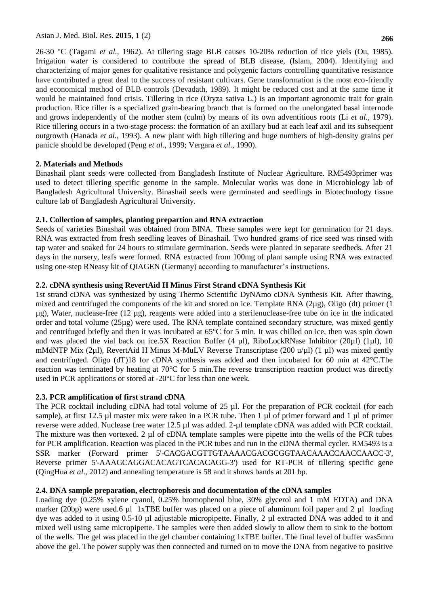Asian J. Med. Biol. Res. **2015**, 1 (2) **266**

26-30 °C (Tagami *et al.,* 1962). At tillering stage BLB causes 10-20% reduction of rice yiels (Ou, 1985). Irrigation water is considered to contribute the spread of BLB disease, (Islam, 2004). Identifying and characterizing of major genes for qualitative resistance and polygenic factors controlling quantitative resistance have contributed a great deal to the success of resistant cultivars. Gene transformation is the most eco-friendly and economical method of BLB controls (Devadath, 1989). It might be reduced cost and at the same time it would be maintained food crisis. Tillering in rice (Oryza sativa L.) is an important agronomic trait for grain production. Rice tiller is a specialized grain-bearing branch that is formed on the unelongated basal internode and grows independently of the mother stem (culm) by means of its own adventitious roots (Li *et al.*, 1979). Rice tillering occurs in a two-stage process: the formation of an axillary bud at each leaf axil and its subsequent outgrowth (Hanada *et al.*, 1993). A new plant with high tillering and huge numbers of high-density grains per panicle should be developed (Peng *et al*., 1999; Vergara *et al*., 1990).

## **2. Materials and Methods**

Binashail plant seeds were collected from Bangladesh Institute of Nuclear Agriculture. RM5493primer was used to detect tillering specific genome in the sample. Molecular works was done in Microbiology lab of Bangladesh Agricultural University. Binashail seeds were germinated and seedlings in Biotechnology tissue culture lab of Bangladesh Agricultural University.

## **2.1. Collection of samples, planting prepartion and RNA extraction**

Seeds of varieties Binashail was obtained from BINA. These samples were kept for germination for 21 days. RNA was extracted from fresh seedling leaves of Binashail. Two hundred grams of rice seed was rinsed with tap water and soaked for 24 hours to stimulate germination. Seeds were planted in separate seedbeds. After 21 days in the nursery, leafs were formed. RNA extracted from 100mg of plant sample using RNA was extracted using one-step RNeasy kit of QIAGEN (Germany) according to manufacturer's instructions.

## **2.2. cDNA synthesis using RevertAid H Minus First Strand cDNA Synthesis Kit**

1st strand cDNA was synthesized by using Thermo Scientific DyNAmo cDNA Synthesis Kit. After thawing, mixed and centrifuged the components of the kit and stored on ice. Template RNA (2µg), Oligo (dt) primer (1  $\mu$ g), Water, nuclease-free (12  $\mu$ g), reagents were added into a sterilenuclease-free tube on ice in the indicated order and total volume (25µg) were used. The RNA template contained secondary structure, was mixed gently and centrifuged briefly and then it was incubated at 65°C for 5 min. It was chilled on ice, then was spin down and was placed the vial back on ice.5X Reaction Buffer (4  $\mu$ l), RiboLockRNase Inhibitor (20 $\mu$ l) (1 $\mu$ l), 10 mMdNTP Mix (2µl), RevertAid H Minus M-MuLV Reverse Transcriptase (200 u/µl) (1 µl) was mixed gently and centrifuged. Oligo (dT)18 for cDNA synthesis was added and then incubated for 60 min at 42°C.The reaction was terminated by heating at 70°C for 5 min.The reverse transcription reaction product was directly used in PCR applications or stored at -20°C for less than one week.

## **2.3. PCR amplification of first strand cDNA**

The PCR cocktail including cDNA had total volume of 25 µl. For the preparation of PCR cocktail (for each sample), at first 12.5 µl master mix were taken in a PCR tube. Then 1 µl of primer forward and 1 µl of primer reverse were added. Nuclease free water 12.5 µl was added. 2-µl template cDNA was added with PCR cocktail. The mixture was then vortexed. 2 µl of cDNA template samples were pipette into the wells of the PCR tubes for PCR amplification. Reaction was placed in the PCR tubes and run in the cDNA thermal cycler. RM5493 is a SSR marker (Forward primer 5'-CACGACGTTGTAAAACGACGCGGTAACAAACCAACCAACC-3', Reverse primer 5'-AAAGCAGGACACAGTCACACAGG-3') used for RT-PCR of tillering specific gene (QingHua *et al*., 2012) and annealing temperature is 58 and it shows bands at 201 bp.

## **2.4. DNA sample preparation, electrophoresis and documentation of the cDNA samples**

Loading dye (0.25% xylene cyanol, 0.25% bromophenol blue, 30% glycerol and 1 mM EDTA) and DNA marker (20bp) were used.6  $\mu$  1 xTBE buffer was placed on a piece of aluminum foil paper and 2  $\mu$  loading dye was added to it using 0.5-10 µl adjustable micropipette. Finally, 2 µl extracted DNA was added to it and mixed well using same micropipette. The samples were then added slowly to allow them to sink to the bottom of the wells. The gel was placed in the gel chamber containing 1xTBE buffer. The final level of buffer was5mm above the gel. The power supply was then connected and turned on to move the DNA from negative to positive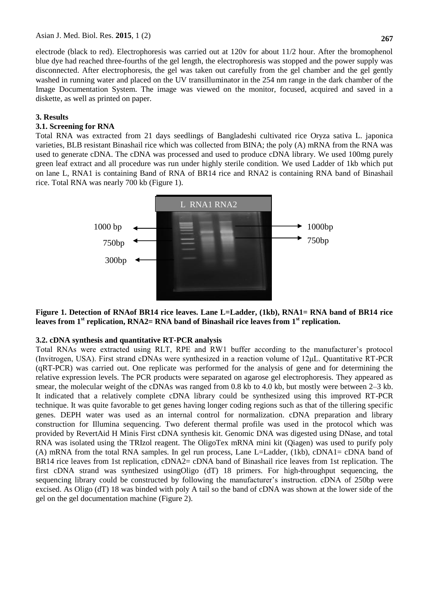electrode (black to red). Electrophoresis was carried out at 120v for about 11/2 hour. After the bromophenol blue dye had reached three-fourths of the gel length, the electrophoresis was stopped and the power supply was disconnected. After electrophoresis, the gel was taken out carefully from the gel chamber and the gel gently washed in running water and placed on the UV transilluminator in the 254 nm range in the dark chamber of the Image Documentation System. The image was viewed on the monitor, focused, acquired and saved in a diskette, as well as printed on paper.

#### **3. Results**

### **3.1. Screening for RNA**

Total RNA was extracted from 21 days seedlings of Bangladeshi cultivated rice Oryza sativa L. japonica varieties, BLB resistant Binashail rice which was collected from BINA; the poly (A) mRNA from the RNA was used to generate cDNA. The cDNA was processed and used to produce cDNA library. We used 100mg purely green leaf extract and all procedure was run under highly sterile condition. We used Ladder of 1kb which put on lane L, RNA1 is containing Band of RNA of BR14 rice and RNA2 is containing RNA band of Binashail rice. Total RNA was nearly 700 kb (Figure 1).



## **Figure 1. Detection of RNAof BR14 rice leaves. Lane L=Ladder, (1kb), RNA1= RNA band of BR14 rice leaves from 1st replication, RNA2= RNA band of Binashail rice leaves from 1st replication.**

#### **3.2. cDNA synthesis and quantitative RT-PCR analysis**

Total RNAs were extracted using RLT, RPE and RW1 buffer according to the manufacturer's protocol (Invitrogen, USA). First strand cDNAs were synthesized in a reaction volume of 12μL. Quantitative RT-PCR (qRT-PCR) was carried out. One replicate was performed for the analysis of gene and for determining the relative expression levels. The PCR products were separated on agarose gel electrophoresis. They appeared as smear, the molecular weight of the cDNAs was ranged from 0.8 kb to 4.0 kb, but mostly were between 2–3 kb. It indicated that a relatively complete cDNA library could be synthesized using this improved RT-PCR technique. It was quite favorable to get genes having longer coding regions such as that of the tillering specific genes. DEPH water was used as an internal control for normalization. cDNA preparation and library construction for Illumina sequencing. Two deferent thermal profile was used in the protocol which was provided by RevertAid H Minis First cDNA synthesis kit. Genomic DNA was digested using DNase, and total RNA was isolated using the TRIzol reagent. The OligoTex mRNA mini kit (Qiagen) was used to purify poly (A) mRNA from the total RNA samples. In gel run process, Lane L=Ladder, (1kb), cDNA1= cDNA band of BR14 rice leaves from 1st replication, cDNA2= cDNA band of Binashail rice leaves from 1st replication. The first cDNA strand was synthesized usingOligo (dT) 18 primers. For high-throughput sequencing, the sequencing library could be constructed by following the manufacturer's instruction. cDNA of 250bp were excised. As Oligo (dT) 18 was binded with poly A tail so the band of cDNA was shown at the lower side of the gel on the gel documentation machine (Figure 2).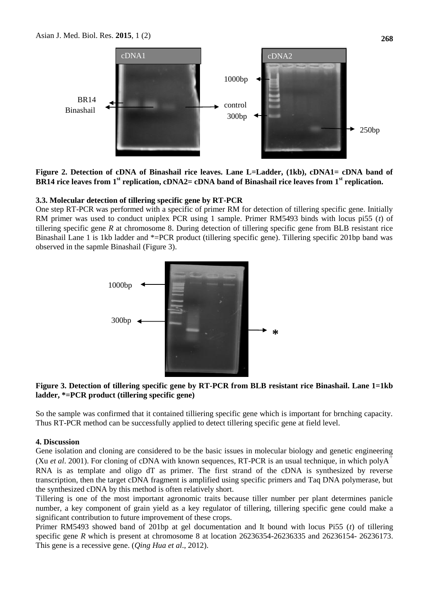

**Figure 2. Detection of cDNA of Binashail rice leaves. Lane L=Ladder, (1kb), cDNA1= cDNA band of BR14 rice leaves from 1st replication, cDNA2= cDNA band of Binashail rice leaves from 1st replication.**

#### **3.3. Molecular detection of tillering specific gene by RT-PCR**

One step RT-PCR was performed with a specific of primer RM for detection of tillering specific gene. Initially RM primer was used to conduct uniplex PCR using 1 sample. Primer RM5493 binds with locus pi55 (*t*) of tillering specific gene *R* at chromosome 8. During detection of tillering specific gene from BLB resistant rice Binashail Lane 1 is 1kb ladder and \*=PCR product (tillering specific gene). Tillering specific 201bp band was observed in the sapmle Binashail (Figure 3).



## **Figure 3. Detection of tillering specific gene by RT-PCR from BLB resistant rice Binashail. Lane 1=1kb ladder, \*=PCR product (tillering specific gene)**

So the sample was confirmed that it contained tilliering specific gene which is important for brnching capacity. Thus RT-PCR method can be successfully applied to detect tillering specific gene at field level.

#### **4. Discussion**

Gene isolation and cloning are considered to be the basic issues in molecular biology and genetic engineering (Xu *et al.* 2001). For cloning of cDNA with known sequences, RT-PCR is an usual technique, in which polyA<sup>+</sup> RNA is as template and oligo dT as primer. The first strand of the cDNA is synthesized by reverse transcription, then the target cDNA fragment is amplified using specific primers and Taq DNA polymerase, but the synthesized cDNA by this method is often relatively short.

Tillering is one of the most important agronomic traits because tiller number per plant determines panicle number, a key component of grain yield as a key regulator of tillering, tillering specific gene could make a significant contribution to future improvement of these crops.

Primer RM5493 showed band of 201bp at gel documentation and It bound with locus Pi55 (*t*) of tillering specific gene *R* which is present at chromosome 8 at location 26236354-26236335 and 26236154- 26236173. This gene is a recessive gene. (*Qing Hua et al*., 2012).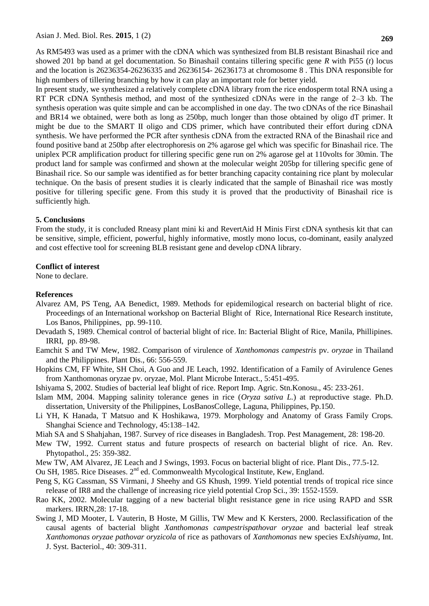As RM5493 was used as a primer with the cDNA which was synthesized from BLB resistant Binashail rice and showed 201 bp band at gel documentation. So Binashail contains tillering specific gene *R* with Pi55 (*t*) locus and the location is 26236354-26236335 and 26236154- 26236173 at chromosome 8 . This DNA responsible for high numbers of tillering branching by how it can play an important role for better yield.

In present study, we synthesized a relatively complete cDNA library from the rice endosperm total RNA using a RT PCR cDNA Synthesis method, and most of the synthesized cDNAs were in the range of 2–3 kb. The synthesis operation was quite simple and can be accomplished in one day. The two cDNAs of the rice Binashail and BR14 we obtained, were both as long as 250bp, much longer than those obtained by oligo dT primer. It might be due to the SMART II oligo and CDS primer, which have contributed their effort during cDNA synthesis. We have performed the PCR after synthesis cDNA from the extracted RNA of the Binashail rice and found positive band at 250bp after electrophoresis on 2% agarose gel which was specific for Binashail rice. The uniplex PCR amplification product for tillering specific gene run on 2% agarose gel at 110volts for 30min. The product land for sample was confirmed and shown at the molecular weight 205bp for tillering specific gene of Binashail rice. So our sample was identified as for better branching capacity containing rice plant by molecular technique. On the basis of present studies it is clearly indicated that the sample of Binashail rice was mostly positive for tillering specific gene. From this study it is proved that the productivity of Binashail rice is sufficiently high.

### **5. Conclusions**

From the study, it is concluded Rneasy plant mini ki and RevertAid H Minis First cDNA synthesis kit that can be sensitive, simple, efficient, powerful, highly informative, mostly mono locus, co-dominant, easily analyzed and cost effective tool for screening BLB resistant gene and develop cDNA library.

### **Conflict of interest**

None to declare.

## **References**

- Alvarez AM, PS Teng, AA Benedict, 1989. Methods for epidemilogical research on bacterial blight of rice. Proceedings of an International workshop on Bacterial Blight of Rice, International Rice Research institute, Los Banos, Philippines, pp. 99-110.
- Devadath S, 1989. Chemical control of bacterial blight of rice. In: Bacterial Blight of Rice, Manila, Phillipines. IRRI, pp. 89-98.
- Eamchit S and TW Mew, 1982. Comparison of virulence of *Xanthomonas campestris* pv. *oryzae* in Thailand and the Philippines. Plant Dis., 66: 556-559.
- Hopkins CM, FF White, SH Choi, A Guo and JE Leach, 1992. Identification of a Family of Avirulence Genes from Xanthomonas oryzae pv. oryzae, Mol. Plant Microbe Interact., 5:451-495.
- Ishiyama S, 2002. Studies of bacterial leaf blight of rice. Report Imp. Agric. Stn.Konosu., 45: 233-261.
- Islam MM, 2004. Mapping salinity tolerance genes in rice (*Oryza sativa L.*) at reproductive stage. Ph.D. dissertation, University of the Philippines, LosBanosCollege, Laguna, Philippines, Pp.150.
- Li YH, K Hanada, T Matsuo and K Hoshikawa, 1979. Morphology and Anatomy of Grass Family Crops. Shanghai Science and Technology, 45:138–142.
- Miah SA and S Shahjahan, 1987. Survey of rice diseases in Bangladesh. Trop. Pest Management, 28: 198-20.
- Mew TW, 1992. Current status and future prospects of research on bacterial blight of rice. An. Rev. Phytopathol., 25: 359-382.
- Mew TW, AM Alvarez, JE Leach and J Swings, 1993. Focus on bacterial blight of rice. Plant Dis., 77.5-12.
- Ou SH, 1985. Rice Diseases. 2<sup>nd</sup> ed. Commonwealth Mycological Institute, Kew, England.
- Peng S, KG Cassman, SS Virmani, J Sheehy and GS Khush, 1999. Yield potential trends of tropical rice since release of IR8 and the challenge of increasing rice yield potential Crop Sci., 39: 1552-1559.
- Rao KK, 2002. Molecular tagging of a new bacterial blight resistance gene in rice using RAPD and SSR markers. IRRN,28: 17-18.
- Swing J, MD Mooter, L Vauterin, B Hoste, M Gillis, TW Mew and K Kersters, 2000. Reclassification of the causal agents of bacterial blight *Xanthomonas campestrispathovar oryzae* and bacterial leaf streak *Xanthomonas oryzae pathovar oryzicola* of rice as pathovars of *Xanthomonas* new species Ex*Ishiyama*, Int. J. Syst. Bacteriol., 40: 309-311.